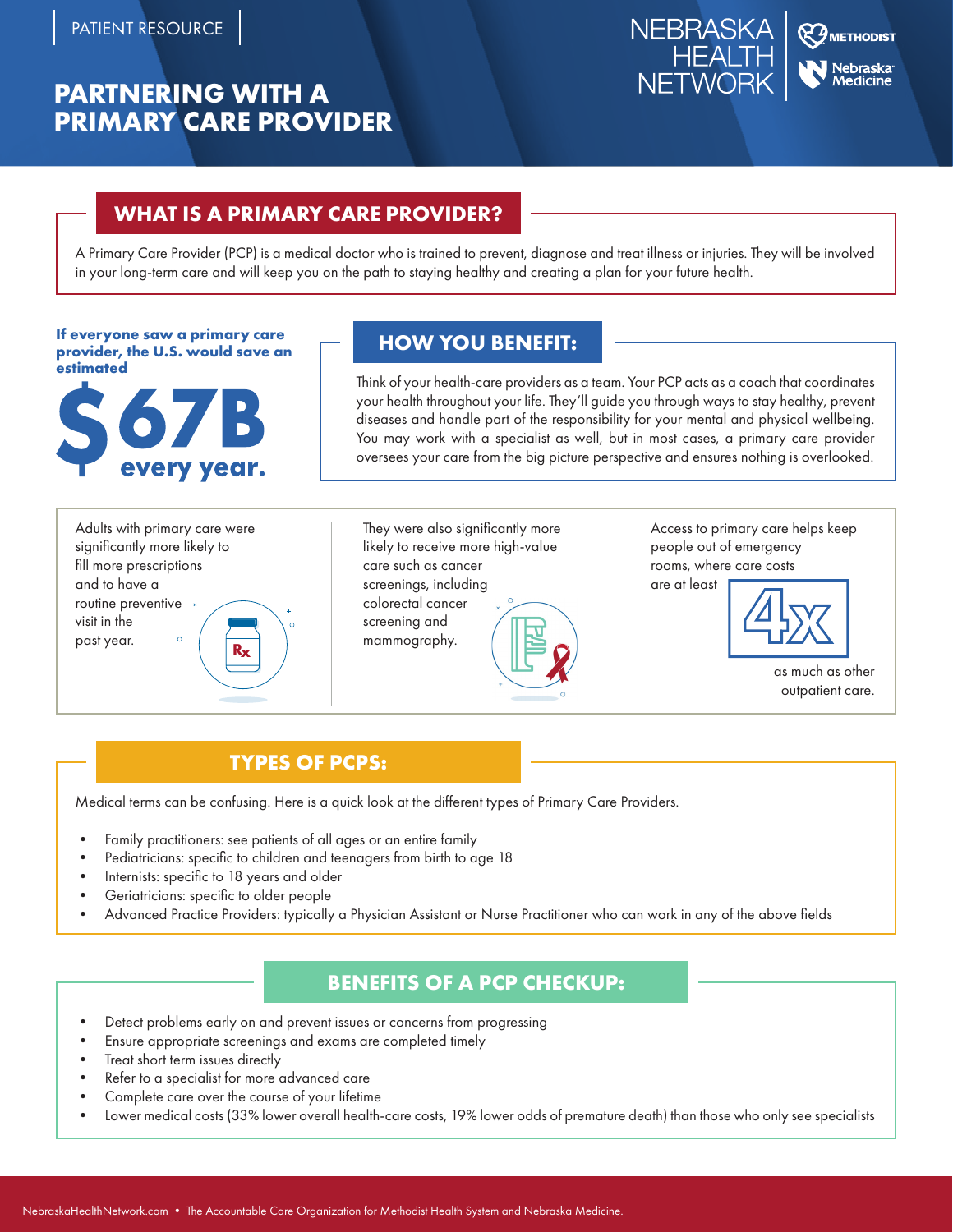# **PARTNERING WITH A PRIMARY CARE PROVIDER**



## **WHAT IS A PRIMARY CARE PROVIDER?**

A Primary Care Provider (PCP) is a medical doctor who is trained to prevent, diagnose and treat illness or injuries. They will be involved in your long-term care and will keep you on the path to staying healthy and creating a plan for your future health.

**HOW YOU BENEFIT: If everyone saw a primary care provider, the U.S. would save an estimated**



Think of your health-care providers as a team. Your PCP acts as a coach that coordinates your health throughout your life. They'll guide you through ways to stay healthy, prevent diseases and handle part of the responsibility for your mental and physical wellbeing. You may work with a specialist as well, but in most cases, a primary care provider oversees your care from the big picture perspective and ensures nothing is overlooked.

Adults with primary care were significantly more likely to fill more prescriptions and to have a routine preventive visit in the past year. **Rx**

They were also significantly more likely to receive more high-value care such as cancer screenings, including colorectal cancer screening and mammography.



Access to primary care helps keep people out of emergency rooms, where care costs are at least



as much as other outpatient care.

# **TYPES OF PCPS:**

Medical terms can be confusing. Here is a quick look at the different types of Primary Care Providers.

- Family practitioners: see patients of all ages or an entire family
- Pediatricians: specific to children and teenagers from birth to age 18
- Internists: specific to 18 years and older
- Geriatricians: specific to older people
- Advanced Practice Providers: typically a Physician Assistant or Nurse Practitioner who can work in any of the above fields

### **BENEFITS OF A PCP CHECKUP:**

- Detect problems early on and prevent issues or concerns from progressing
- Ensure appropriate screenings and exams are completed timely
- Treat short term issues directly
- Refer to a specialist for more advanced care
- Complete care over the course of your lifetime
- Lower medical costs (33% lower overall health-care costs, 19% lower odds of premature death) than those who only see specialists **Ry** see specialists